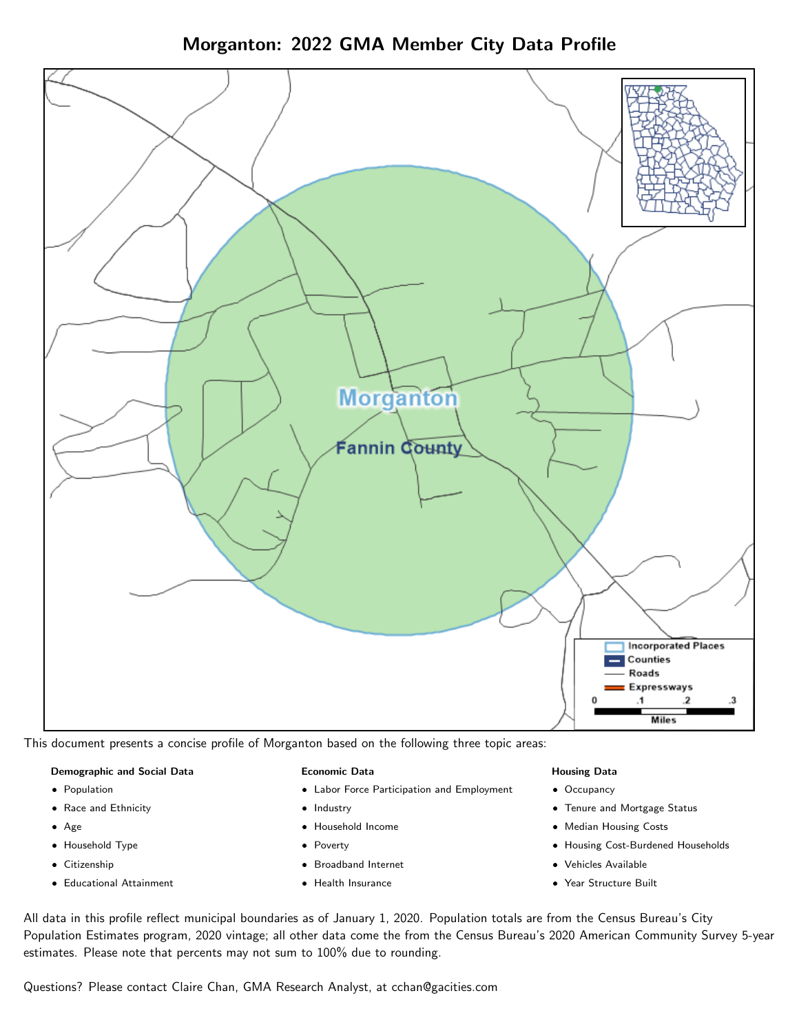Morganton: 2022 GMA Member City Data Profile



This document presents a concise profile of Morganton based on the following three topic areas:

### Demographic and Social Data

- **•** Population
- Race and Ethnicity
- Age
- Household Type
- **Citizenship**
- Educational Attainment

#### Economic Data

- Labor Force Participation and Employment
- Industry
- Household Income
- Poverty
- Broadband Internet
- Health Insurance

#### Housing Data

- Occupancy
- Tenure and Mortgage Status
- Median Housing Costs
- Housing Cost-Burdened Households
- Vehicles Available
- Year Structure Built

All data in this profile reflect municipal boundaries as of January 1, 2020. Population totals are from the Census Bureau's City Population Estimates program, 2020 vintage; all other data come the from the Census Bureau's 2020 American Community Survey 5-year estimates. Please note that percents may not sum to 100% due to rounding.

Questions? Please contact Claire Chan, GMA Research Analyst, at [cchan@gacities.com.](mailto:cchan@gacities.com)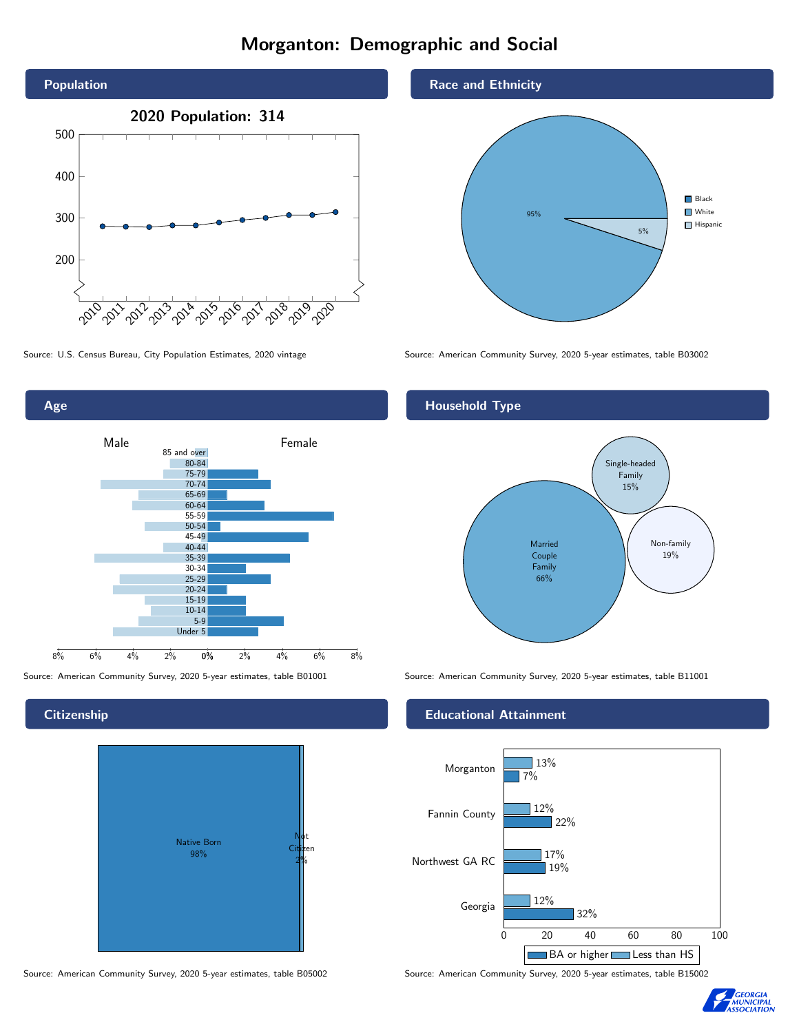# Morganton: Demographic and Social



0% 2% 4% 6% 8% Male and the male of Female 8% 6% 4% 2% 85 and over 80-84 75-79 70-74 65-69 60-64 55-59 50-54 45-49 40-44 35-39 30-34 25-29 20-24 15-19  $10-14$ 5-9 Under 5

**Citizenship** 

Age



Source: American Community Survey, 2020 5-year estimates, table B05002 Source: American Community Survey, 2020 5-year estimates, table B15002

### Race and Ethnicity



Source: U.S. Census Bureau, City Population Estimates, 2020 vintage Source: American Community Survey, 2020 5-year estimates, table B03002

## Household Type



Source: American Community Survey, 2020 5-year estimates, table B01001 Source: American Community Survey, 2020 5-year estimates, table B11001

#### Educational Attainment



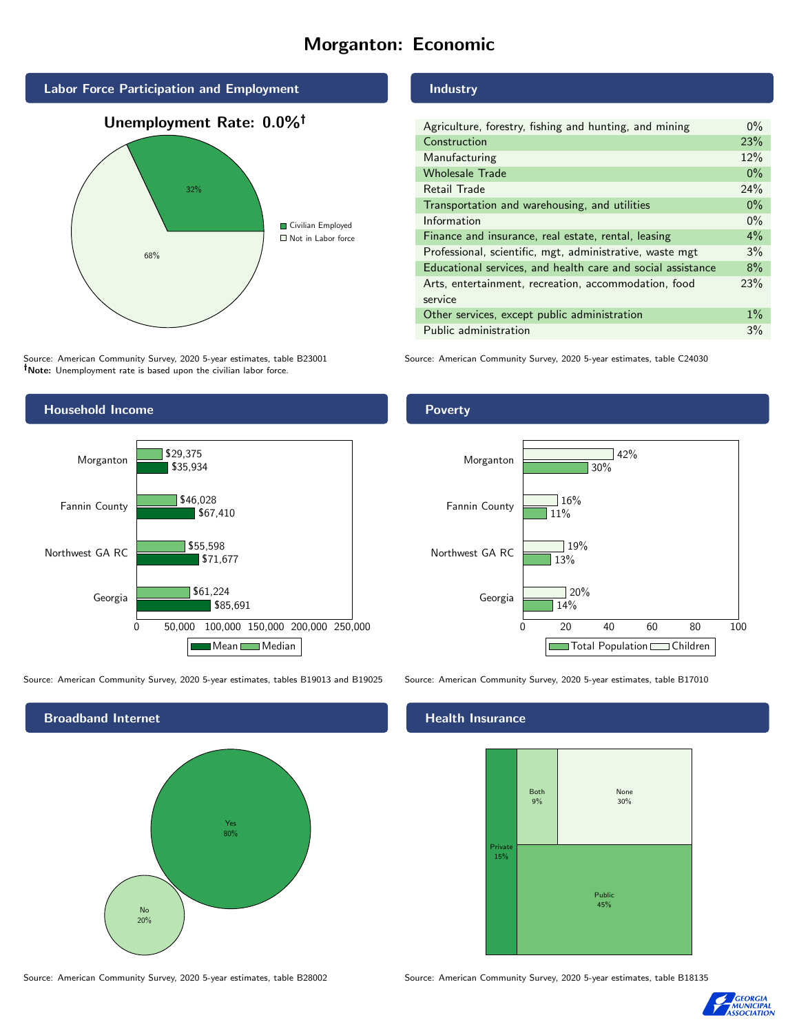# Morganton: Economic



Source: American Community Survey, 2020 5-year estimates, table B23001 Note: Unemployment rate is based upon the civilian labor force.



Source: American Community Survey, 2020 5-year estimates, tables B19013 and B19025 Source: American Community Survey, 2020 5-year estimates, table B17010



# Industry

| Agriculture, forestry, fishing and hunting, and mining      | $0\%$ |
|-------------------------------------------------------------|-------|
| Construction                                                | 23%   |
| Manufacturing                                               | 12%   |
| <b>Wholesale Trade</b>                                      | $0\%$ |
| Retail Trade                                                | 24%   |
| Transportation and warehousing, and utilities               | $0\%$ |
| Information                                                 | $0\%$ |
| Finance and insurance, real estate, rental, leasing         | $4\%$ |
| Professional, scientific, mgt, administrative, waste mgt    | 3%    |
| Educational services, and health care and social assistance | 8%    |
| Arts, entertainment, recreation, accommodation, food        | 23%   |
| service                                                     |       |
| Other services, except public administration                | $1\%$ |
| Public administration                                       | 3%    |

Source: American Community Survey, 2020 5-year estimates, table C24030

### Poverty



#### Health Insurance



Source: American Community Survey, 2020 5-year estimates, table B28002 Source: American Community Survey, 2020 5-year estimates, table B18135